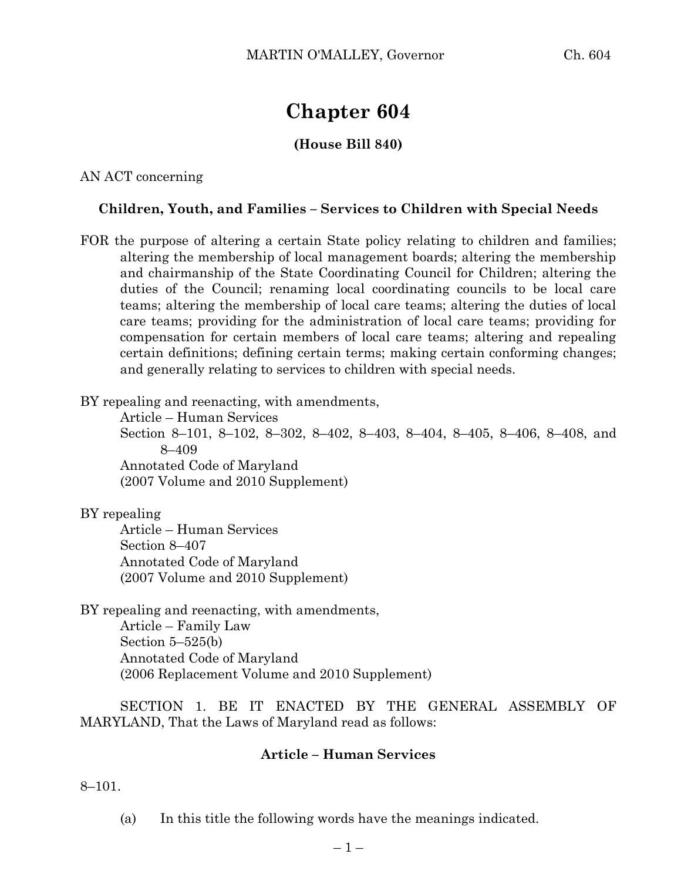# **Chapter 604**

# **(House Bill 840)**

AN ACT concerning

#### **Children, Youth, and Families – Services to Children with Special Needs**

FOR the purpose of altering a certain State policy relating to children and families; altering the membership of local management boards; altering the membership and chairmanship of the State Coordinating Council for Children; altering the duties of the Council; renaming local coordinating councils to be local care teams; altering the membership of local care teams; altering the duties of local care teams; providing for the administration of local care teams; providing for compensation for certain members of local care teams; altering and repealing certain definitions; defining certain terms; making certain conforming changes; and generally relating to services to children with special needs.

BY repealing and reenacting, with amendments,

Article – Human Services Section 8–101, 8–102, 8–302, 8–402, 8–403, 8–404, 8–405, 8–406, 8–408, and 8–409 Annotated Code of Maryland (2007 Volume and 2010 Supplement)

BY repealing

Article – Human Services Section 8–407 Annotated Code of Maryland (2007 Volume and 2010 Supplement)

BY repealing and reenacting, with amendments, Article – Family Law Section 5–525(b) Annotated Code of Maryland (2006 Replacement Volume and 2010 Supplement)

SECTION 1. BE IT ENACTED BY THE GENERAL ASSEMBLY OF MARYLAND, That the Laws of Maryland read as follows:

#### **Article – Human Services**

8–101.

(a) In this title the following words have the meanings indicated.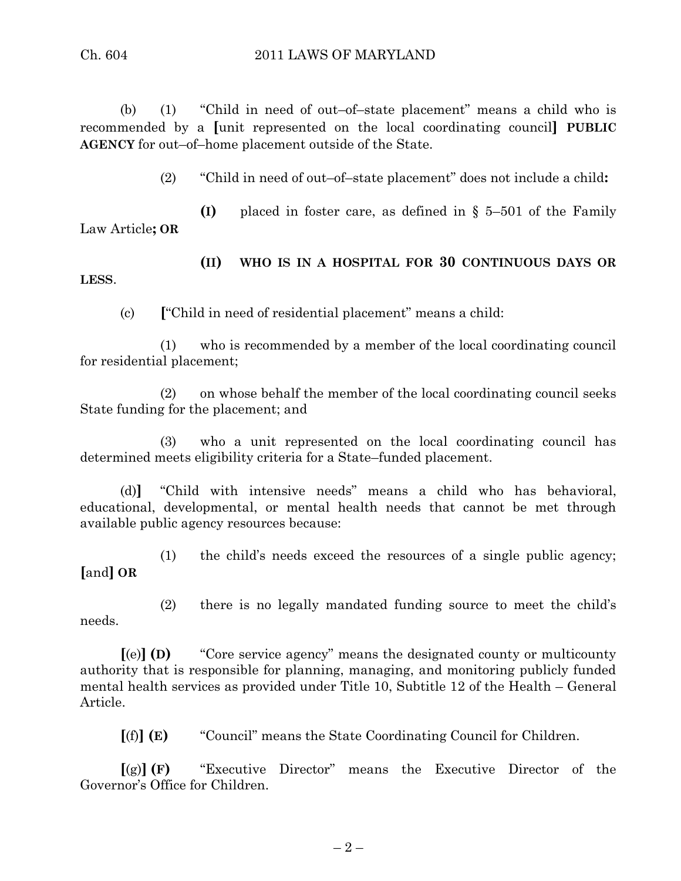(b) (1) "Child in need of out–of–state placement" means a child who is recommended by a **[**unit represented on the local coordinating council**] PUBLIC AGENCY** for out–of–home placement outside of the State.

(2) "Child in need of out–of–state placement" does not include a child**:**

**(I)** placed in foster care, as defined in § 5–501 of the Family Law Article**; OR**

**(II) WHO IS IN A HOSPITAL FOR 30 CONTINUOUS DAYS OR LESS**.

(c) **[**"Child in need of residential placement" means a child:

(1) who is recommended by a member of the local coordinating council for residential placement;

(2) on whose behalf the member of the local coordinating council seeks State funding for the placement; and

(3) who a unit represented on the local coordinating council has determined meets eligibility criteria for a State–funded placement.

(d)**]** "Child with intensive needs" means a child who has behavioral, educational, developmental, or mental health needs that cannot be met through available public agency resources because:

(1) the child's needs exceed the resources of a single public agency; **[**and**] OR**

needs.

(2) there is no legally mandated funding source to meet the child's

**[**(e)**] (D)** "Core service agency" means the designated county or multicounty authority that is responsible for planning, managing, and monitoring publicly funded mental health services as provided under Title 10, Subtitle 12 of the Health – General Article.

**[**(f)**] (E)** "Council" means the State Coordinating Council for Children.

**[**(g)**] (F)** "Executive Director" means the Executive Director of the Governor's Office for Children.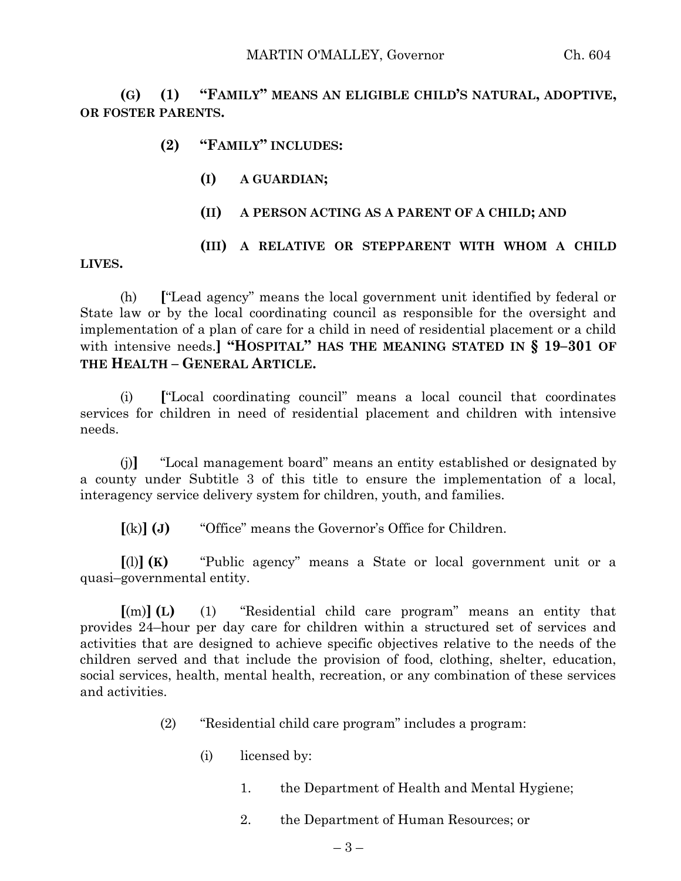**(G) (1) "FAMILY" MEANS AN ELIGIBLE CHILD'S NATURAL, ADOPTIVE, OR FOSTER PARENTS.**

### **(2) "FAMILY" INCLUDES:**

- **(I) A GUARDIAN;**
- **(II) A PERSON ACTING AS A PARENT OF A CHILD; AND**
- **(III) A RELATIVE OR STEPPARENT WITH WHOM A CHILD**

**LIVES.**

(h) **[**"Lead agency" means the local government unit identified by federal or State law or by the local coordinating council as responsible for the oversight and implementation of a plan of care for a child in need of residential placement or a child with intensive needs.**] "HOSPITAL" HAS THE MEANING STATED IN § 19–301 OF THE HEALTH – GENERAL ARTICLE.**

(i) **[**"Local coordinating council" means a local council that coordinates services for children in need of residential placement and children with intensive needs.

(j)**]** "Local management board" means an entity established or designated by a county under Subtitle 3 of this title to ensure the implementation of a local, interagency service delivery system for children, youth, and families.

**[**(k)**] (J)** "Office" means the Governor's Office for Children.

**[**(l)**] (K)** "Public agency" means a State or local government unit or a quasi–governmental entity.

**[**(m)**] (L)** (1) "Residential child care program" means an entity that provides 24–hour per day care for children within a structured set of services and activities that are designed to achieve specific objectives relative to the needs of the children served and that include the provision of food, clothing, shelter, education, social services, health, mental health, recreation, or any combination of these services and activities.

- (2) "Residential child care program" includes a program:
	- (i) licensed by:
		- 1. the Department of Health and Mental Hygiene;
		- 2. the Department of Human Resources; or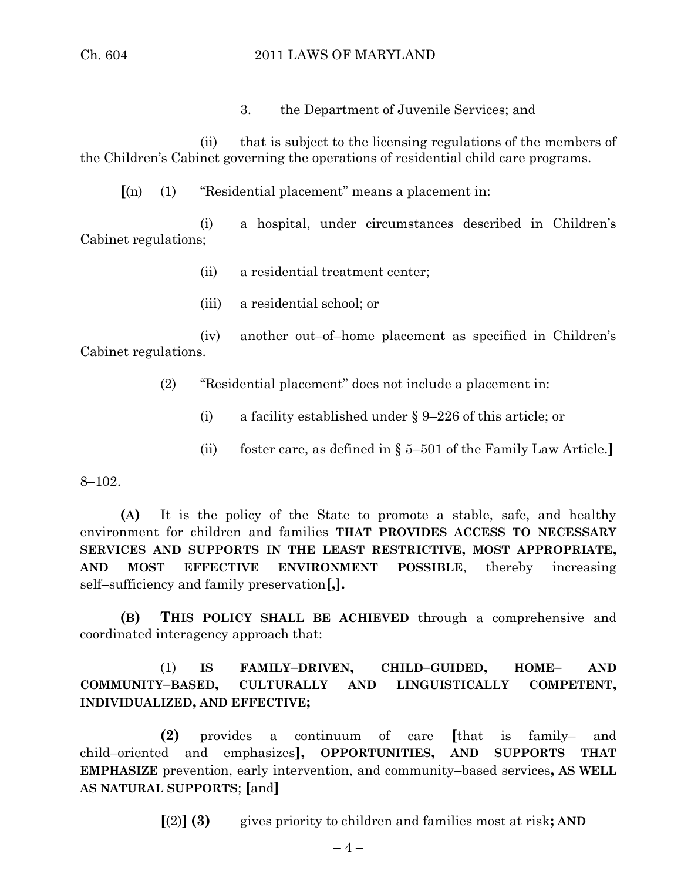3. the Department of Juvenile Services; and

(ii) that is subject to the licensing regulations of the members of the Children's Cabinet governing the operations of residential child care programs.

**[**(n) (1) "Residential placement" means a placement in:

(i) a hospital, under circumstances described in Children's Cabinet regulations;

- (ii) a residential treatment center;
- (iii) a residential school; or

(iv) another out–of–home placement as specified in Children's Cabinet regulations.

(2) "Residential placement" does not include a placement in:

- (i) a facility established under § 9–226 of this article; or
- (ii) foster care, as defined in § 5–501 of the Family Law Article.**]**

8–102.

**(A)** It is the policy of the State to promote a stable, safe, and healthy environment for children and families **THAT PROVIDES ACCESS TO NECESSARY SERVICES AND SUPPORTS IN THE LEAST RESTRICTIVE, MOST APPROPRIATE, AND MOST EFFECTIVE ENVIRONMENT POSSIBLE**, thereby increasing self–sufficiency and family preservation**[,].**

**(B) THIS POLICY SHALL BE ACHIEVED** through a comprehensive and coordinated interagency approach that:

(1) **IS FAMILY–DRIVEN, CHILD–GUIDED, HOME– AND COMMUNITY–BASED, CULTURALLY AND LINGUISTICALLY COMPETENT, INDIVIDUALIZED, AND EFFECTIVE;**

**(2)** provides a continuum of care **[**that is family– and child–oriented and emphasizes**], OPPORTUNITIES, AND SUPPORTS THAT EMPHASIZE** prevention, early intervention, and community–based services**, AS WELL AS NATURAL SUPPORTS**; **[**and**]**

**[**(2)**] (3)** gives priority to children and families most at risk**; AND**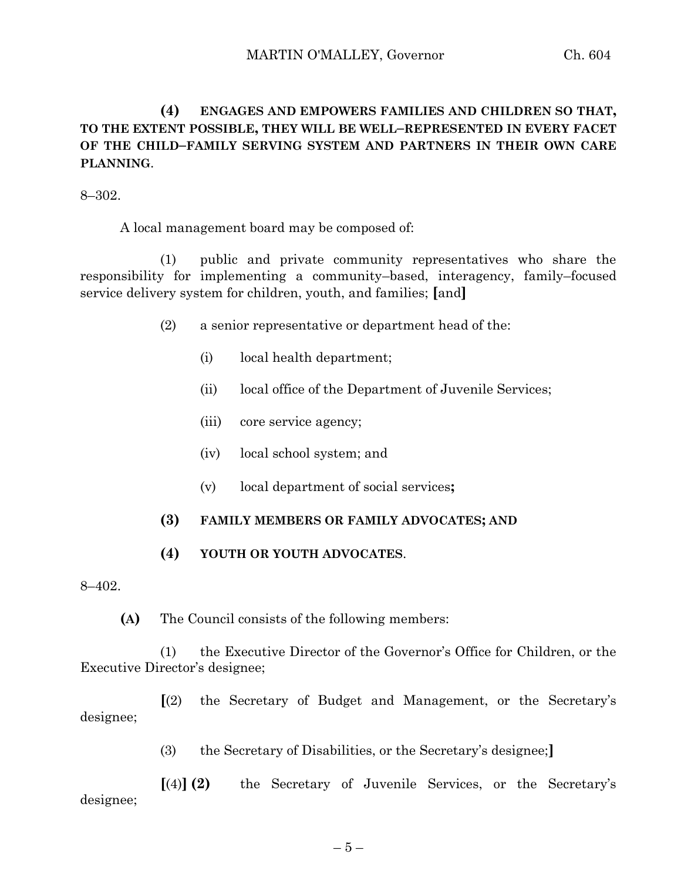# **(4) ENGAGES AND EMPOWERS FAMILIES AND CHILDREN SO THAT, TO THE EXTENT POSSIBLE, THEY WILL BE WELL–REPRESENTED IN EVERY FACET OF THE CHILD–FAMILY SERVING SYSTEM AND PARTNERS IN THEIR OWN CARE PLANNING**.

8–302.

A local management board may be composed of:

(1) public and private community representatives who share the responsibility for implementing a community–based, interagency, family–focused service delivery system for children, youth, and families; **[**and**]**

- (2) a senior representative or department head of the:
	- (i) local health department;
	- (ii) local office of the Department of Juvenile Services;
	- (iii) core service agency;
	- (iv) local school system; and
	- (v) local department of social services**;**

#### **(3) FAMILY MEMBERS OR FAMILY ADVOCATES; AND**

**(4) YOUTH OR YOUTH ADVOCATES**.

8–402.

**(A)** The Council consists of the following members:

(1) the Executive Director of the Governor's Office for Children, or the Executive Director's designee;

**[**(2) the Secretary of Budget and Management, or the Secretary's designee;

(3) the Secretary of Disabilities, or the Secretary's designee;**]**

**[**(4)**] (2)** the Secretary of Juvenile Services, or the Secretary's designee;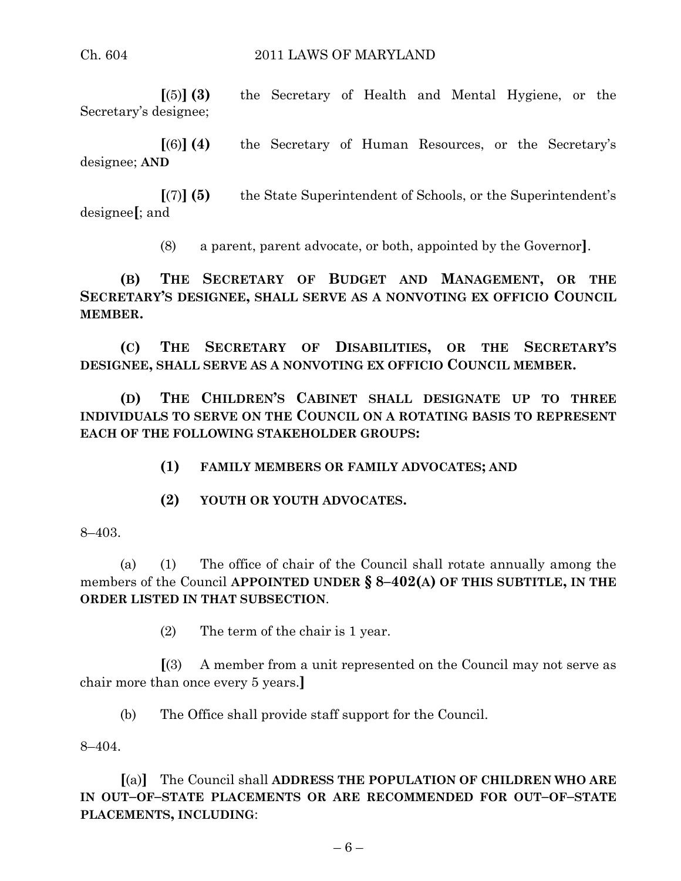**[**(5)**] (3)** the Secretary of Health and Mental Hygiene, or the Secretary's designee;

**[**(6)**] (4)** the Secretary of Human Resources, or the Secretary's designee; **AND**

**[**(7)**] (5)** the State Superintendent of Schools, or the Superintendent's designee**[**; and

(8) a parent, parent advocate, or both, appointed by the Governor**]**.

**(B) THE SECRETARY OF BUDGET AND MANAGEMENT, OR THE SECRETARY'S DESIGNEE, SHALL SERVE AS A NONVOTING EX OFFICIO COUNCIL MEMBER.**

**(C) THE SECRETARY OF DISABILITIES, OR THE SECRETARY'S DESIGNEE, SHALL SERVE AS A NONVOTING EX OFFICIO COUNCIL MEMBER.**

**(D) THE CHILDREN'S CABINET SHALL DESIGNATE UP TO THREE INDIVIDUALS TO SERVE ON THE COUNCIL ON A ROTATING BASIS TO REPRESENT EACH OF THE FOLLOWING STAKEHOLDER GROUPS:**

**(1) FAMILY MEMBERS OR FAMILY ADVOCATES; AND**

**(2) YOUTH OR YOUTH ADVOCATES.**

8–403.

(a) (1) The office of chair of the Council shall rotate annually among the members of the Council **APPOINTED UNDER § 8–402(A) OF THIS SUBTITLE, IN THE ORDER LISTED IN THAT SUBSECTION**.

(2) The term of the chair is 1 year.

**[**(3) A member from a unit represented on the Council may not serve as chair more than once every 5 years.**]**

(b) The Office shall provide staff support for the Council.

8–404.

**[**(a)**]** The Council shall **ADDRESS THE POPULATION OF CHILDREN WHO ARE IN OUT–OF–STATE PLACEMENTS OR ARE RECOMMENDED FOR OUT–OF–STATE PLACEMENTS, INCLUDING**: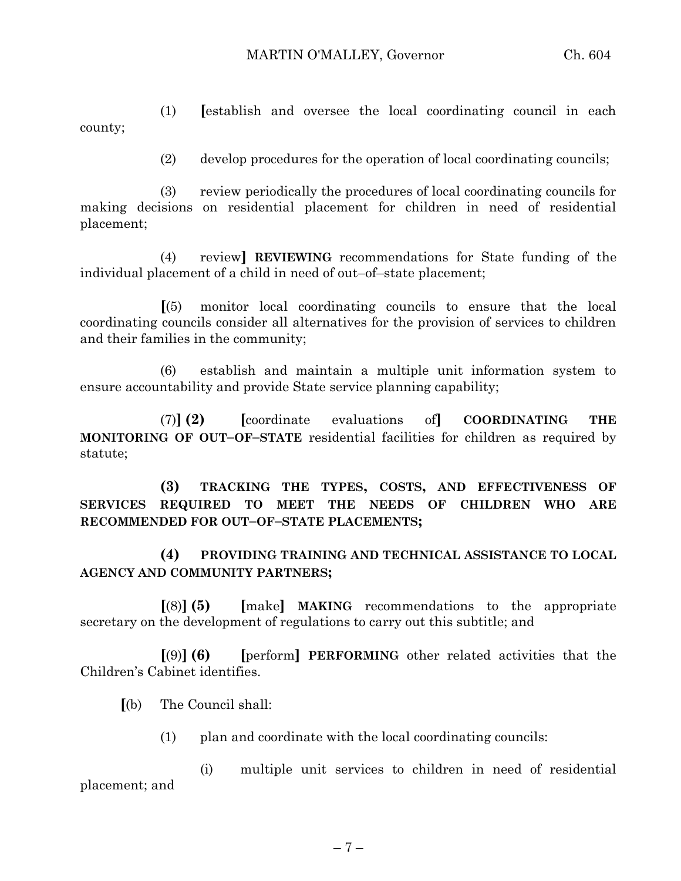(1) **[**establish and oversee the local coordinating council in each county;

(2) develop procedures for the operation of local coordinating councils;

(3) review periodically the procedures of local coordinating councils for making decisions on residential placement for children in need of residential placement;

(4) review**] REVIEWING** recommendations for State funding of the individual placement of a child in need of out–of–state placement;

**[**(5) monitor local coordinating councils to ensure that the local coordinating councils consider all alternatives for the provision of services to children and their families in the community;

(6) establish and maintain a multiple unit information system to ensure accountability and provide State service planning capability;

(7)**] (2) [**coordinate evaluations of**] COORDINATING THE MONITORING OF OUT–OF–STATE** residential facilities for children as required by statute;

**(3) TRACKING THE TYPES, COSTS, AND EFFECTIVENESS OF SERVICES REQUIRED TO MEET THE NEEDS OF CHILDREN WHO ARE RECOMMENDED FOR OUT–OF–STATE PLACEMENTS;**

**(4) PROVIDING TRAINING AND TECHNICAL ASSISTANCE TO LOCAL AGENCY AND COMMUNITY PARTNERS;**

**[**(8)**] (5) [**make**] MAKING** recommendations to the appropriate secretary on the development of regulations to carry out this subtitle; and

**[**(9)**] (6) [**perform**] PERFORMING** other related activities that the Children's Cabinet identifies.

**[**(b) The Council shall:

(1) plan and coordinate with the local coordinating councils:

(i) multiple unit services to children in need of residential placement; and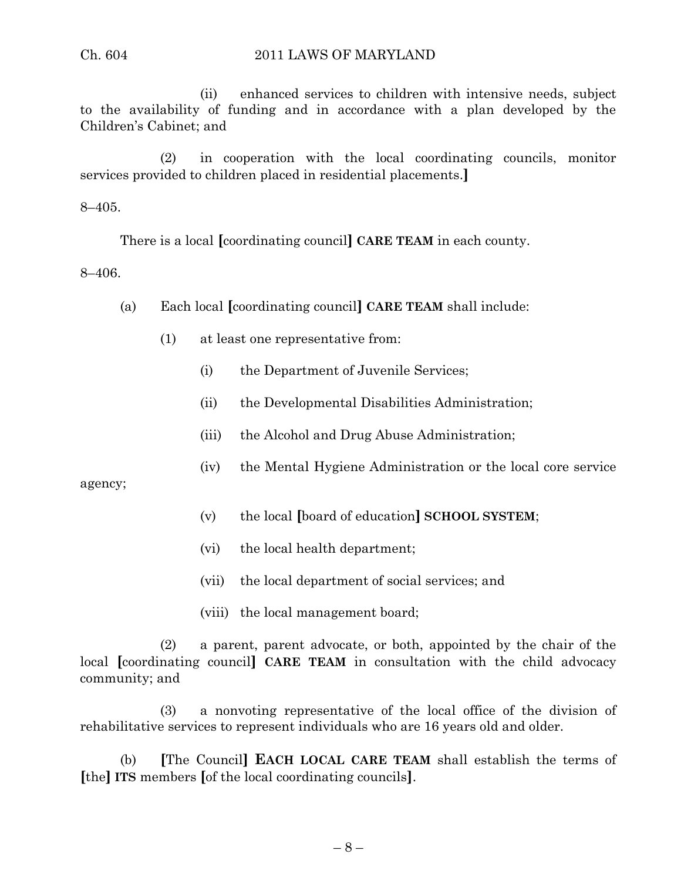(ii) enhanced services to children with intensive needs, subject to the availability of funding and in accordance with a plan developed by the Children's Cabinet; and

(2) in cooperation with the local coordinating councils, monitor services provided to children placed in residential placements.**]**

8–405.

There is a local **[**coordinating council**] CARE TEAM** in each county.

8–406.

- (a) Each local **[**coordinating council**] CARE TEAM** shall include:
	- (1) at least one representative from:
		- (i) the Department of Juvenile Services;
		- (ii) the Developmental Disabilities Administration;
		- (iii) the Alcohol and Drug Abuse Administration;
		- (iv) the Mental Hygiene Administration or the local core service

agency;

- (v) the local **[**board of education**] SCHOOL SYSTEM**;
- (vi) the local health department;
- (vii) the local department of social services; and
- (viii) the local management board;

(2) a parent, parent advocate, or both, appointed by the chair of the local **[**coordinating council**] CARE TEAM** in consultation with the child advocacy community; and

(3) a nonvoting representative of the local office of the division of rehabilitative services to represent individuals who are 16 years old and older.

(b) **[**The Council**] EACH LOCAL CARE TEAM** shall establish the terms of **[**the**] ITS** members **[**of the local coordinating councils**]**.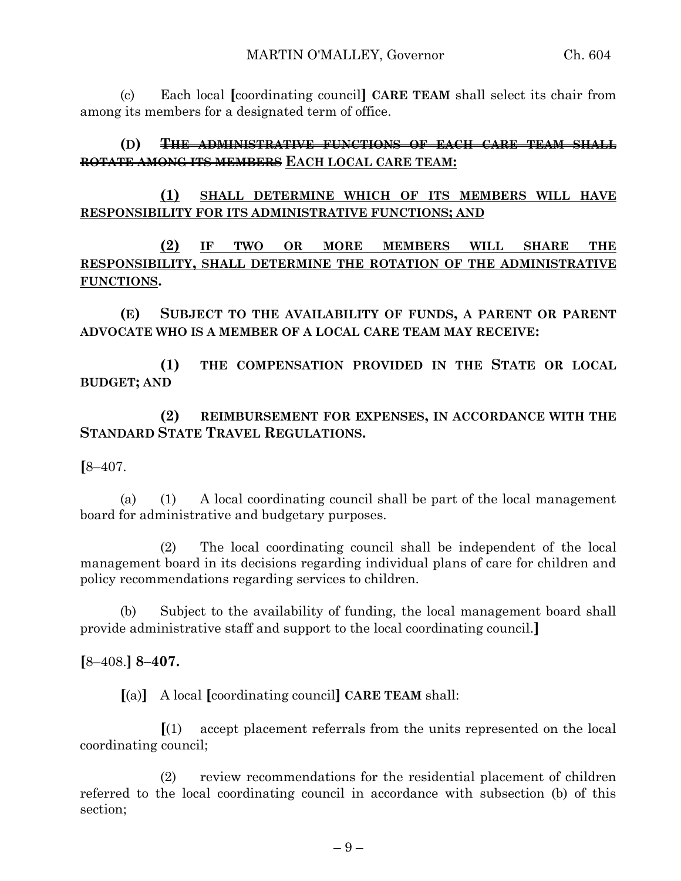(c) Each local **[**coordinating council**] CARE TEAM** shall select its chair from among its members for a designated term of office.

# **(D) THE ADMINISTRATIVE FUNCTIONS OF EACH CARE TEAM SHALL ROTATE AMONG ITS MEMBERS EACH LOCAL CARE TEAM:**

**(1) SHALL DETERMINE WHICH OF ITS MEMBERS WILL HAVE RESPONSIBILITY FOR ITS ADMINISTRATIVE FUNCTIONS; AND**

**(2) IF TWO OR MORE MEMBERS WILL SHARE THE RESPONSIBILITY, SHALL DETERMINE THE ROTATION OF THE ADMINISTRATIVE FUNCTIONS.**

**(E) SUBJECT TO THE AVAILABILITY OF FUNDS, A PARENT OR PARENT ADVOCATE WHO IS A MEMBER OF A LOCAL CARE TEAM MAY RECEIVE:**

**(1) THE COMPENSATION PROVIDED IN THE STATE OR LOCAL BUDGET; AND**

**(2) REIMBURSEMENT FOR EXPENSES, IN ACCORDANCE WITH THE STANDARD STATE TRAVEL REGULATIONS.**

**[**8–407.

(a) (1) A local coordinating council shall be part of the local management board for administrative and budgetary purposes.

(2) The local coordinating council shall be independent of the local management board in its decisions regarding individual plans of care for children and policy recommendations regarding services to children.

(b) Subject to the availability of funding, the local management board shall provide administrative staff and support to the local coordinating council.**]**

**[**8–408.**] 8–407.**

**[**(a)**]** A local **[**coordinating council**] CARE TEAM** shall:

**[**(1) accept placement referrals from the units represented on the local coordinating council;

(2) review recommendations for the residential placement of children referred to the local coordinating council in accordance with subsection (b) of this section;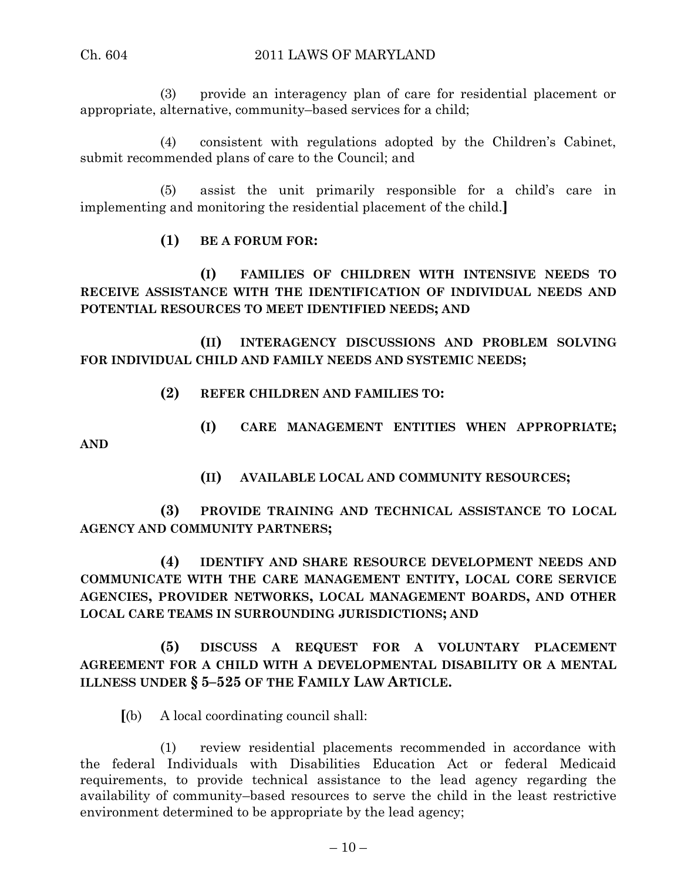(3) provide an interagency plan of care for residential placement or appropriate, alternative, community–based services for a child;

(4) consistent with regulations adopted by the Children's Cabinet, submit recommended plans of care to the Council; and

(5) assist the unit primarily responsible for a child's care in implementing and monitoring the residential placement of the child.**]**

# **(1) BE A FORUM FOR:**

**(I) FAMILIES OF CHILDREN WITH INTENSIVE NEEDS TO RECEIVE ASSISTANCE WITH THE IDENTIFICATION OF INDIVIDUAL NEEDS AND POTENTIAL RESOURCES TO MEET IDENTIFIED NEEDS; AND**

**(II) INTERAGENCY DISCUSSIONS AND PROBLEM SOLVING FOR INDIVIDUAL CHILD AND FAMILY NEEDS AND SYSTEMIC NEEDS;**

**(2) REFER CHILDREN AND FAMILIES TO:**

**(I) CARE MANAGEMENT ENTITIES WHEN APPROPRIATE; AND**

**(II) AVAILABLE LOCAL AND COMMUNITY RESOURCES;**

**(3) PROVIDE TRAINING AND TECHNICAL ASSISTANCE TO LOCAL AGENCY AND COMMUNITY PARTNERS;**

**(4) IDENTIFY AND SHARE RESOURCE DEVELOPMENT NEEDS AND COMMUNICATE WITH THE CARE MANAGEMENT ENTITY, LOCAL CORE SERVICE AGENCIES, PROVIDER NETWORKS, LOCAL MANAGEMENT BOARDS, AND OTHER LOCAL CARE TEAMS IN SURROUNDING JURISDICTIONS; AND**

# **(5) DISCUSS A REQUEST FOR A VOLUNTARY PLACEMENT AGREEMENT FOR A CHILD WITH A DEVELOPMENTAL DISABILITY OR A MENTAL ILLNESS UNDER § 5–525 OF THE FAMILY LAW ARTICLE.**

**[**(b) A local coordinating council shall:

(1) review residential placements recommended in accordance with the federal Individuals with Disabilities Education Act or federal Medicaid requirements, to provide technical assistance to the lead agency regarding the availability of community–based resources to serve the child in the least restrictive environment determined to be appropriate by the lead agency;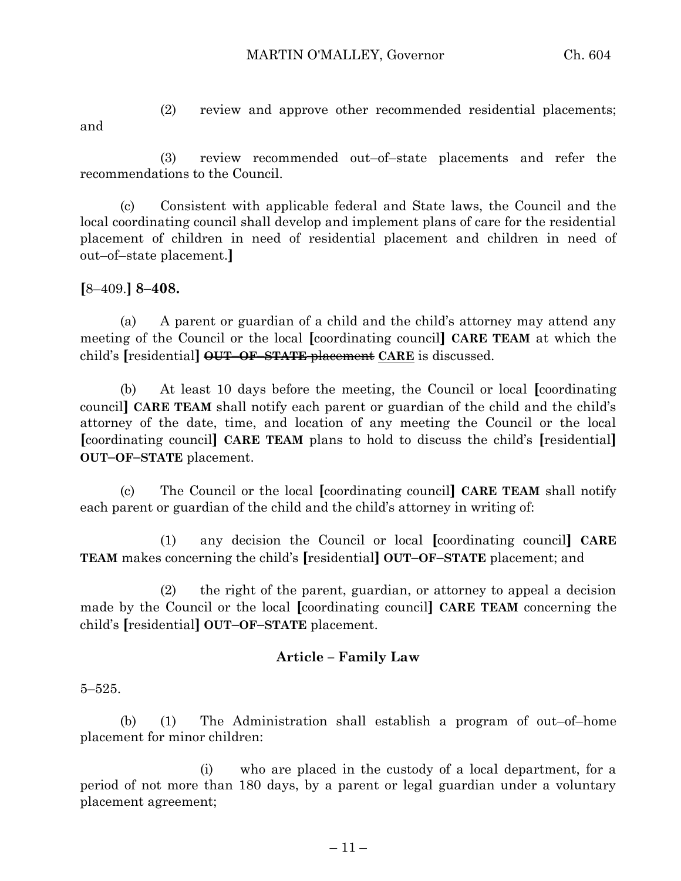- and
- (2) review and approve other recommended residential placements;

(3) review recommended out–of–state placements and refer the recommendations to the Council.

(c) Consistent with applicable federal and State laws, the Council and the local coordinating council shall develop and implement plans of care for the residential placement of children in need of residential placement and children in need of out–of–state placement.**]**

**[**8–409.**] 8–408.**

(a) A parent or guardian of a child and the child's attorney may attend any meeting of the Council or the local **[**coordinating council**] CARE TEAM** at which the child's **[**residential**] OUT–OF–STATE** placement **CARE** is discussed.

(b) At least 10 days before the meeting, the Council or local **[**coordinating council**] CARE TEAM** shall notify each parent or guardian of the child and the child's attorney of the date, time, and location of any meeting the Council or the local **[**coordinating council**] CARE TEAM** plans to hold to discuss the child's **[**residential**] OUT–OF–STATE** placement.

(c) The Council or the local **[**coordinating council**] CARE TEAM** shall notify each parent or guardian of the child and the child's attorney in writing of:

(1) any decision the Council or local **[**coordinating council**] CARE TEAM** makes concerning the child's **[**residential**] OUT–OF–STATE** placement; and

(2) the right of the parent, guardian, or attorney to appeal a decision made by the Council or the local **[**coordinating council**] CARE TEAM** concerning the child's **[**residential**] OUT–OF–STATE** placement.

# **Article – Family Law**

5–525.

(b) (1) The Administration shall establish a program of out–of–home placement for minor children:

(i) who are placed in the custody of a local department, for a period of not more than 180 days, by a parent or legal guardian under a voluntary placement agreement;